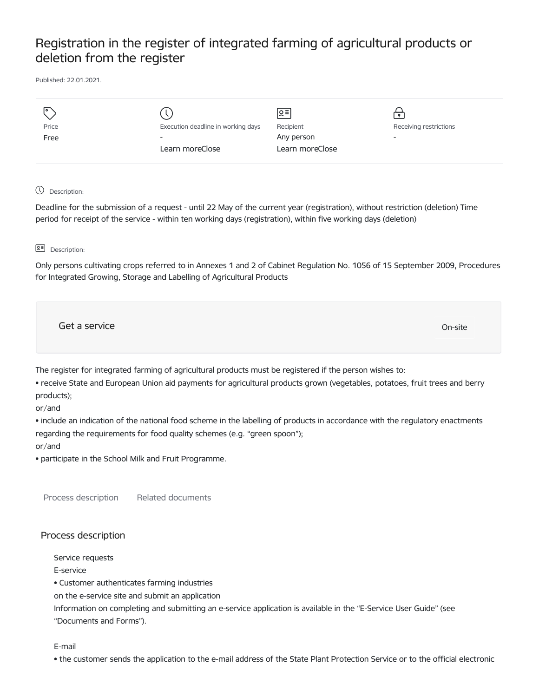## Registration in the register of integrated farming of agricultural products or deletion from the register

Published: 22.01.2021.

| I۰    |                                    | $\sqrt{5}$      |                        |
|-------|------------------------------------|-----------------|------------------------|
| Price | Execution deadline in working days | Recipient       | Receiving restrictions |
| Free  | $\overline{\phantom{0}}$           | Any person      | -                      |
|       | Learn moreClose                    | Learn moreClose |                        |
|       |                                    |                 |                        |

## Description:

Deadline for the submission of a request - until 22 May of the current year (registration), without restriction (deletion) Time period for receipt of the service - within ten working days (registration), within five working days (deletion)

## **B<sub>E</sub>** Description:

Only persons cultivating crops referred to in Annexes 1 and 2 of Cabinet Regulation No. 1056 of 15 September 2009, Procedures for Integrated Growing, Storage and Labelling of Agricultural Products

Get a service only a structure of the contract of the contract of the contract of the contract of the contract of the contract of the contract of the contract of the contract of the contract of the contract of the contract

The register for integrated farming of agricultural products must be registered if the person wishes to:

• receive State and European Union aid payments for agricultural products grown (vegetables, potatoes, fruit trees and berry products);

or/and

• include an indication of the national food scheme in the labelling of products in accordance with the regulatory enactments regarding the requirements for food quality schemes (e.g. "green spoon");

or/and

• participate in the School Milk and Fruit Programme.

Process description Related documents

## Process description

Service requests

E-service

• Customer authenticates farming industries

on the e-service site and submit an application

Information on completing and submitting an e-service application is available in the "E-Service User Guide" (see "Documents and Forms").

E-mail

• the customer sends the application to the e-mail address of the State Plant Protection Service or to the official electronic